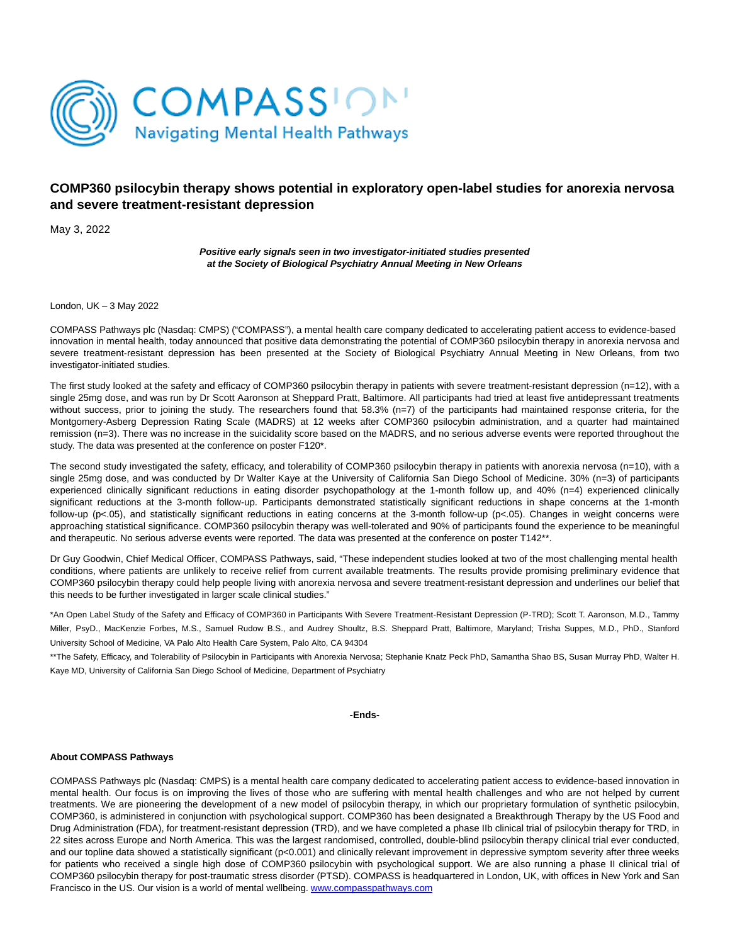

# **COMP360 psilocybin therapy shows potential in exploratory open-label studies for anorexia nervosa and severe treatment-resistant depression**

May 3, 2022

**Positive early signals seen in two investigator-initiated studies presented at the Society of Biological Psychiatry Annual Meeting in New Orleans**

London, UK – 3 May 2022

COMPASS Pathways plc (Nasdaq: CMPS) ("COMPASS"), a mental health care company dedicated to accelerating patient access to evidence-based innovation in mental health, today announced that positive data demonstrating the potential of COMP360 psilocybin therapy in anorexia nervosa and severe treatment-resistant depression has been presented at the Society of Biological Psychiatry Annual Meeting in New Orleans, from two investigator-initiated studies.

The first study looked at the safety and efficacy of COMP360 psilocybin therapy in patients with severe treatment-resistant depression (n=12), with a single 25mg dose, and was run by Dr Scott Aaronson at Sheppard Pratt, Baltimore. All participants had tried at least five antidepressant treatments without success, prior to joining the study. The researchers found that 58.3% (n=7) of the participants had maintained response criteria, for the Montgomery-Asberg Depression Rating Scale (MADRS) at 12 weeks after COMP360 psilocybin administration, and a quarter had maintained remission (n=3). There was no increase in the suicidality score based on the MADRS, and no serious adverse events were reported throughout the study. The data was presented at the conference on poster F120\*.

The second study investigated the safety, efficacy, and tolerability of COMP360 psilocybin therapy in patients with anorexia nervosa (n=10), with a single 25mg dose, and was conducted by Dr Walter Kaye at the University of California San Diego School of Medicine. 30% (n=3) of participants experienced clinically significant reductions in eating disorder psychopathology at the 1-month follow up, and 40% (n=4) experienced clinically significant reductions at the 3-month follow-up. Participants demonstrated statistically significant reductions in shape concerns at the 1-month follow-up (p<.05), and statistically significant reductions in eating concerns at the 3-month follow-up (p<.05). Changes in weight concerns were approaching statistical significance. COMP360 psilocybin therapy was well-tolerated and 90% of participants found the experience to be meaningful and therapeutic. No serious adverse events were reported. The data was presented at the conference on poster T142\*\*.

Dr Guy Goodwin, Chief Medical Officer, COMPASS Pathways, said, "These independent studies looked at two of the most challenging mental health conditions, where patients are unlikely to receive relief from current available treatments. The results provide promising preliminary evidence that COMP360 psilocybin therapy could help people living with anorexia nervosa and severe treatment-resistant depression and underlines our belief that this needs to be further investigated in larger scale clinical studies."

\*An Open Label Study of the Safety and Efficacy of COMP360 in Participants With Severe Treatment-Resistant Depression (P-TRD); Scott T. Aaronson, M.D., Tammy Miller, PsyD., MacKenzie Forbes, M.S., Samuel Rudow B.S., and Audrey Shoultz, B.S. Sheppard Pratt, Baltimore, Maryland; Trisha Suppes, M.D., PhD., Stanford University School of Medicine, VA Palo Alto Health Care System, Palo Alto, CA 94304

\*\*The Safety, Efficacy, and Tolerability of Psilocybin in Participants with Anorexia Nervosa; Stephanie Knatz Peck PhD, Samantha Shao BS, Susan Murray PhD, Walter H. Kaye MD, University of California San Diego School of Medicine, Department of Psychiatry

## **-Ends-**

## **About COMPASS Pathways**

COMPASS Pathways plc (Nasdaq: CMPS) is a mental health care company dedicated to accelerating patient access to evidence-based innovation in mental health. Our focus is on improving the lives of those who are suffering with mental health challenges and who are not helped by current treatments. We are pioneering the development of a new model of psilocybin therapy, in which our proprietary formulation of synthetic psilocybin, COMP360, is administered in conjunction with psychological support. COMP360 has been designated a Breakthrough Therapy by the US Food and Drug Administration (FDA), for treatment-resistant depression (TRD), and we have completed a phase IIb clinical trial of psilocybin therapy for TRD, in 22 sites across Europe and North America. This was the largest randomised, controlled, double-blind psilocybin therapy clinical trial ever conducted, and our topline data showed a statistically significant (p<0.001) and clinically relevant improvement in depressive symptom severity after three weeks for patients who received a single high dose of COMP360 psilocybin with psychological support. We are also running a phase II clinical trial of COMP360 psilocybin therapy for post-traumatic stress disorder (PTSD). COMPASS is headquartered in London, UK, with offices in New York and San Francisco in the US. Our vision is a world of mental wellbeing. [www.compasspathways.com](https://www.globenewswire.com/Tracker?data=n85tUtidlcxnkGSoMHB4GqAASxy2p9h9-BR0Fri3JEZywiP4VRRlyM1R0IJi21Q9NEvyvsJJL3GbHKWlZUQUmgE6_AApNC0hxjjok4e2Qak=)